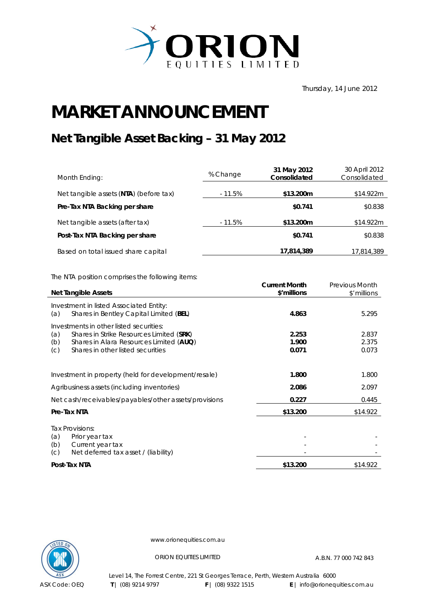

Thursday, 14 June 2012

## **MARKET ANNOUNCEMENT**

## **Net Tangible Asset Backing – 31 May 2012**

| Month Ending:                          | % Change  | 31 May 2012<br>Consolidated | 30 April 2012<br>Consolidated |
|----------------------------------------|-----------|-----------------------------|-------------------------------|
| Net tangible assets (NTA) (before tax) | $-11.5%$  | \$13.200m                   | \$14.922m                     |
| Pre-Tax NTA Backing per share          |           | \$0.741                     | \$0.838                       |
| Net tangible assets (after tax)        | $-11.5\%$ | \$13.200m                   | \$14.922m                     |
| Post-Tax NTA Backing per share         |           | \$0.741                     | \$0.838                       |
| Based on total issued share capital    |           | 17,814,389                  | 17,814,389                    |

The NTA position comprises the following items:

|     | <b>Net Tangible Assets</b>                            | <b>Current Month</b><br>\$'millions | <b>Previous Month</b><br>\$'millions |
|-----|-------------------------------------------------------|-------------------------------------|--------------------------------------|
|     | Investment in listed Associated Entity:               |                                     |                                      |
| (a) | Shares in Bentley Capital Limited (BEL)               | 4.863                               | 5.295                                |
|     | Investments in other listed securities:               |                                     |                                      |
| (a) | Shares in Strike Resources Limited (SRK)              | 2.253                               | 2.837                                |
| (b) | Shares in Alara Resources Limited (AUQ)               | 1.900                               | 2.375                                |
| (C) | Shares in other listed securities                     | 0.071                               | 0.073                                |
|     |                                                       |                                     |                                      |
|     | Investment in property (held for development/resale)  | 1.800                               | 1.800                                |
|     | Agribusiness assets (including inventories)           | 2.086                               | 2.097                                |
|     | Net cash/receivables/payables/other assets/provisions | 0.227                               | 0.445                                |
|     | Pre-Tax NTA                                           | \$13.200                            | \$14.922                             |
| (a) | Tax Provisions:<br>Prior year tax                     |                                     |                                      |
| (b) | Current year tax                                      |                                     |                                      |
| (C) | Net deferred tax asset / (liability)                  |                                     |                                      |
|     | Post-Tax NTA                                          | \$13.200                            | \$14.922                             |



www.orionequities.com.au

ORION EQUITIES LIMITED A.B.N. 77 000 742 843

Level 14, The Forrest Centre, 221 St Georges Terrace, Perth, Western Australia 6000  **T** | (08) 9214 9797 **F** | (08) 9322 1515 **E** | info@orionequities.com.au